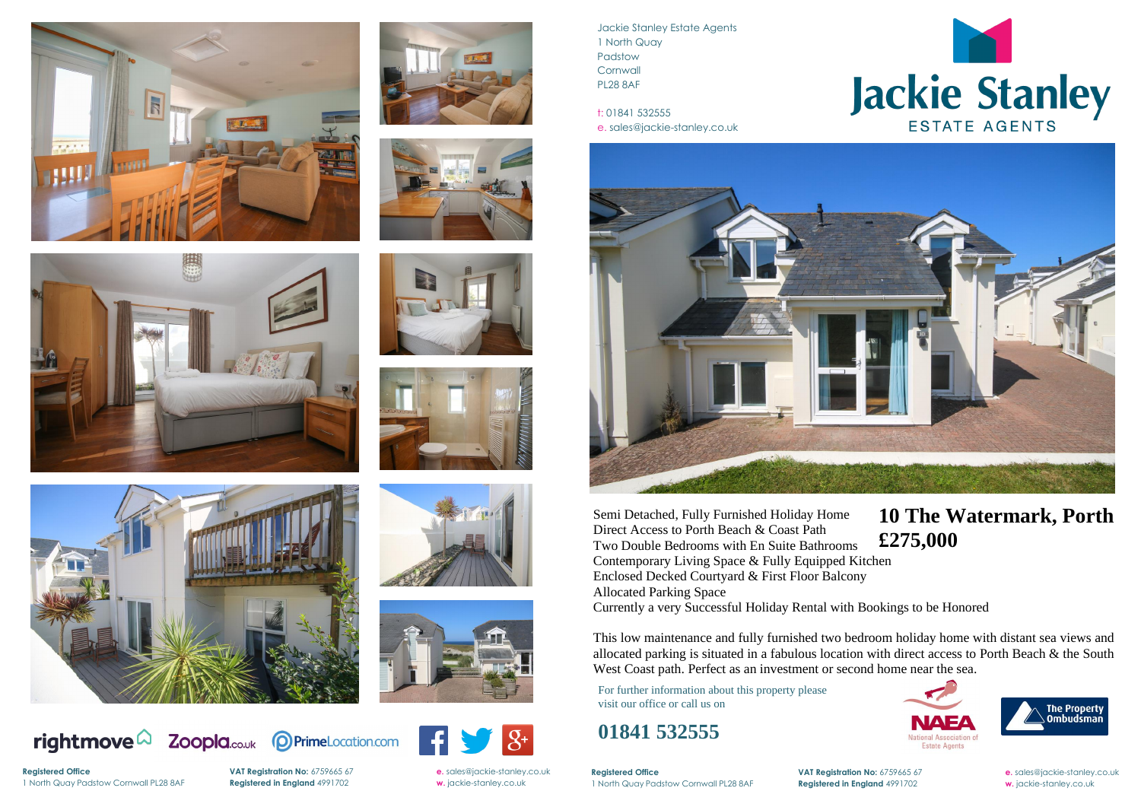

















rightmove $\Omega$ 

**Registered Office** 





Jackie Stanley Estate Agents 1 North Quay Padstow **Cornwall** PL28 8AF

t: 01841 532555 e. sales@jackie-stanley.co.uk



**Registered Office VAT Registration No:** 6759665 67 **e.** [sales@jackie-stanley.co.uk](mailto:sales@jackie-stanley.co.uk) 1 North Quay Padstow Cornwall PL28 8AF **Registered in England** 4991702 **w.** jackie-stanley.co.uk

For further information about this property please visit our office or call us on

## **01841 532555**

Semi Detached, Fully Furnished Holiday Home Direct Access to Porth Beach & Coast Path Two Double Bedrooms with En Suite Bathrooms Contemporary Living Space & Fully Equipped Kitchen Enclosed Decked Courtyard & First Floor Balcony Allocated Parking Space Currently a very Successful Holiday Rental with Bookings to be Honored **£275,000**

This low maintenance and fully furnished two bedroom holiday home with distant sea views and allocated parking is situated in a fabulous location with direct access to Porth Beach & the South West Coast path. Perfect as an investment or second home near the sea.

## **10 The Watermark, Porth**





1 North Quay Padstow Cornwall PL28 8AF **Registered in England** 4991702 **w.** jackie-stanley.co.uk

**VAT Registration No:** 6759665 67 **e.** [sales@jackie-stanley.co.uk](mailto:sales@jackie-stanley.co.uk)